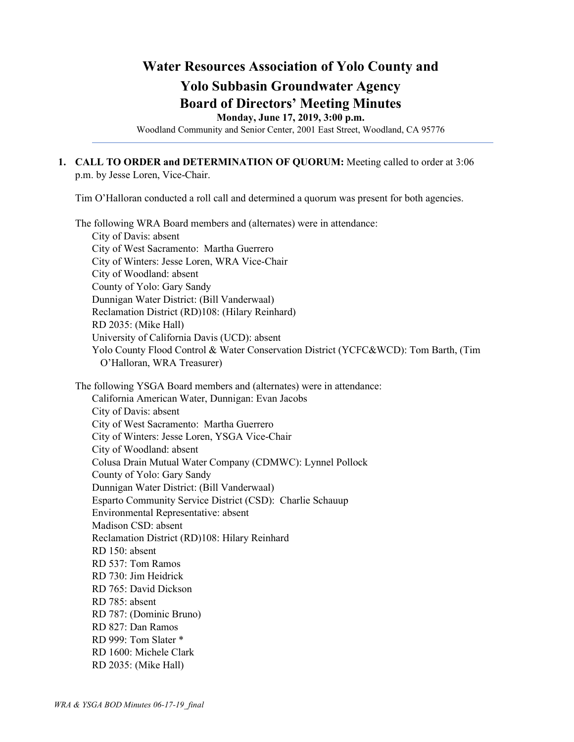# **Water Resources Association of Yolo County and Yolo Subbasin Groundwater Agency Board of Directors' Meeting Minutes**

**Monday, June 17, 2019, 3:00 p.m.**

Woodland Community and Senior Center, 2001 East Street, Woodland, CA 95776

## **1. CALL TO ORDER and DETERMINATION OF QUORUM:** Meeting called to order at 3:06 p.m. by Jesse Loren, Vice-Chair.

Tim O'Halloran conducted a roll call and determined a quorum was present for both agencies.

The following WRA Board members and (alternates) were in attendance: City of Davis: absent City of West Sacramento: Martha Guerrero City of Winters: Jesse Loren, WRA Vice-Chair City of Woodland: absent County of Yolo: Gary Sandy Dunnigan Water District: (Bill Vanderwaal) Reclamation District (RD)108: (Hilary Reinhard) RD 2035: (Mike Hall) University of California Davis (UCD): absent Yolo County Flood Control & Water Conservation District (YCFC&WCD): Tom Barth, (Tim O'Halloran, WRA Treasurer) The following YSGA Board members and (alternates) were in attendance: California American Water, Dunnigan: Evan Jacobs City of Davis: absent City of West Sacramento: Martha Guerrero City of Winters: Jesse Loren, YSGA Vice-Chair City of Woodland: absent Colusa Drain Mutual Water Company (CDMWC): Lynnel Pollock County of Yolo: Gary Sandy Dunnigan Water District: (Bill Vanderwaal) Esparto Community Service District (CSD): Charlie Schauup Environmental Representative: absent Madison CSD: absent Reclamation District (RD)108: Hilary Reinhard RD 150: absent RD 537: Tom Ramos RD 730: Jim Heidrick RD 765: David Dickson RD 785: absent RD 787: (Dominic Bruno) RD 827: Dan Ramos RD 999: Tom Slater \* RD 1600: Michele Clark RD 2035: (Mike Hall)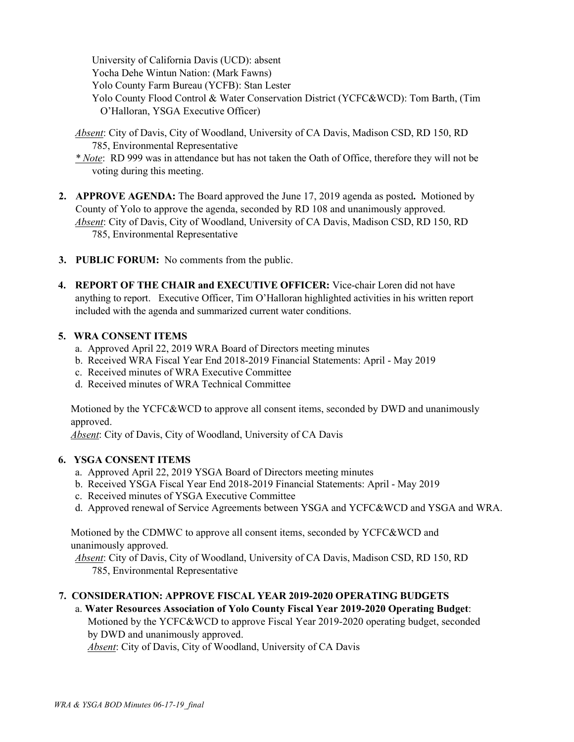University of California Davis (UCD): absent Yocha Dehe Wintun Nation: (Mark Fawns) Yolo County Farm Bureau (YCFB): Stan Lester Yolo County Flood Control & Water Conservation District (YCFC&WCD): Tom Barth, (Tim O'Halloran, YSGA Executive Officer)

- *Absent*: City of Davis, City of Woodland, University of CA Davis, Madison CSD, RD 150, RD 785, Environmental Representative
- *\* Note*: RD 999 was in attendance but has not taken the Oath of Office, therefore they will not be voting during this meeting.
- **2. APPROVE AGENDA:** The Board approved the June 17, 2019 agenda as posted**.** Motioned by County of Yolo to approve the agenda, seconded by RD 108 and unanimously approved. *Absent*: City of Davis, City of Woodland, University of CA Davis, Madison CSD, RD 150, RD 785, Environmental Representative
- **3. PUBLIC FORUM:** No comments from the public.
- **4. REPORT OF THE CHAIR and EXECUTIVE OFFICER:** Vice-chair Loren did not have anything to report. Executive Officer, Tim O'Halloran highlighted activities in his written report included with the agenda and summarized current water conditions.

#### **5. WRA CONSENT ITEMS**

- a. Approved April 22, 2019 WRA Board of Directors meeting minutes
- b. Received WRA Fiscal Year End 2018-2019 Financial Statements: April May 2019
- c. Received minutes of WRA Executive Committee
- d. Received minutes of WRA Technical Committee

Motioned by the YCFC&WCD to approve all consent items, seconded by DWD and unanimously approved.

*Absent*: City of Davis, City of Woodland, University of CA Davis

#### **6. YSGA CONSENT ITEMS**

- a. Approved April 22, 2019 YSGA Board of Directors meeting minutes
- b. Received YSGA Fiscal Year End 2018-2019 Financial Statements: April May 2019
- c. Received minutes of YSGA Executive Committee
- d. Approved renewal of Service Agreements between YSGA and YCFC&WCD and YSGA and WRA.

Motioned by the CDMWC to approve all consent items, seconded by YCFC&WCD and unanimously approved.

*Absent*: City of Davis, City of Woodland, University of CA Davis, Madison CSD, RD 150, RD 785, Environmental Representative

#### **7. CONSIDERATION: APPROVE FISCAL YEAR 2019-2020 OPERATING BUDGETS**

#### a. **Water Resources Association of Yolo County Fiscal Year 2019-2020 Operating Budget**: Motioned by the YCFC&WCD to approve Fiscal Year 2019-2020 operating budget, seconded by DWD and unanimously approved.

*Absent*: City of Davis, City of Woodland, University of CA Davis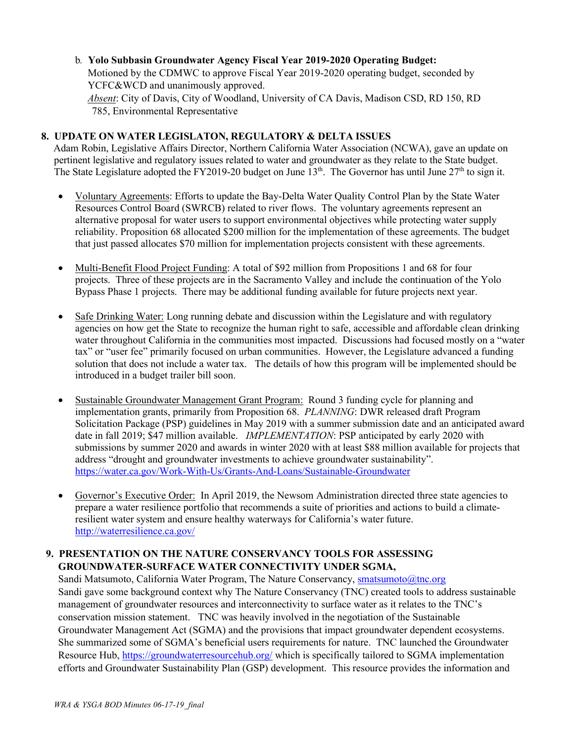## b*.* **Yolo Subbasin Groundwater Agency Fiscal Year 2019-2020 Operating Budget:** Motioned by the CDMWC to approve Fiscal Year 2019-2020 operating budget, seconded by YCFC&WCD and unanimously approved. *Absent*: City of Davis, City of Woodland, University of CA Davis, Madison CSD, RD 150, RD 785, Environmental Representative

# **8. UPDATE ON WATER LEGISLATON, REGULATORY & DELTA ISSUES**

Adam Robin, Legislative Affairs Director, Northern California Water Association (NCWA), gave an update on pertinent legislative and regulatory issues related to water and groundwater as they relate to the State budget. The State Legislature adopted the FY2019-20 budget on June  $13<sup>th</sup>$ . The Governor has until June  $27<sup>th</sup>$  to sign it.

- Voluntary Agreements: Efforts to update the Bay-Delta Water Quality Control Plan by the State Water Resources Control Board (SWRCB) related to river flows. The voluntary agreements represent an alternative proposal for water users to support environmental objectives while protecting water supply reliability. Proposition 68 allocated \$200 million for the implementation of these agreements. The budget that just passed allocates \$70 million for implementation projects consistent with these agreements.
- Multi-Benefit Flood Project Funding: A total of \$92 million from Propositions 1 and 68 for four projects. Three of these projects are in the Sacramento Valley and include the continuation of the Yolo Bypass Phase 1 projects. There may be additional funding available for future projects next year.
- Safe Drinking Water: Long running debate and discussion within the Legislature and with regulatory agencies on how get the State to recognize the human right to safe, accessible and affordable clean drinking water throughout California in the communities most impacted. Discussions had focused mostly on a "water tax" or "user fee" primarily focused on urban communities. However, the Legislature advanced a funding solution that does not include a water tax. The details of how this program will be implemented should be introduced in a budget trailer bill soon.
- Sustainable Groundwater Management Grant Program: Round 3 funding cycle for planning and implementation grants, primarily from Proposition 68. *PLANNING*: DWR released draft Program Solicitation Package (PSP) guidelines in May 2019 with a summer submission date and an anticipated award date in fall 2019; \$47 million available. *IMPLEMENTATION*: PSP anticipated by early 2020 with submissions by summer 2020 and awards in winter 2020 with at least \$88 million available for projects that address "drought and groundwater investments to achieve groundwater sustainability". <https://water.ca.gov/Work-With-Us/Grants-And-Loans/Sustainable-Groundwater>
- Governor's Executive Order: In April 2019, the Newsom Administration directed three state agencies to prepare a water resilience portfolio that recommends a suite of priorities and actions to build a climateresilient water system and ensure healthy waterways for California's water future. <http://waterresilience.ca.gov/>

# **9. PRESENTATION ON THE NATURE CONSERVANCY TOOLS FOR ASSESSING GROUNDWATER-SURFACE WATER CONNECTIVITY UNDER SGMA,**

Sandi Matsumoto, California Water Program, The Nature Conservancy, smatsumoto@tnc.org Sandi gave some background context why The Nature Conservancy (TNC) created tools to address sustainable management of groundwater resources and interconnectivity to surface water as it relates to the TNC's conservation mission statement. TNC was heavily involved in the negotiation of the Sustainable Groundwater Management Act (SGMA) and the provisions that impact groundwater dependent ecosystems. She summarized some of SGMA's beneficial users requirements for nature. TNC launched the Groundwater Resource Hub,<https://groundwaterresourcehub.org/> which is specifically tailored to SGMA implementation efforts and Groundwater Sustainability Plan (GSP) development. This resource provides the information and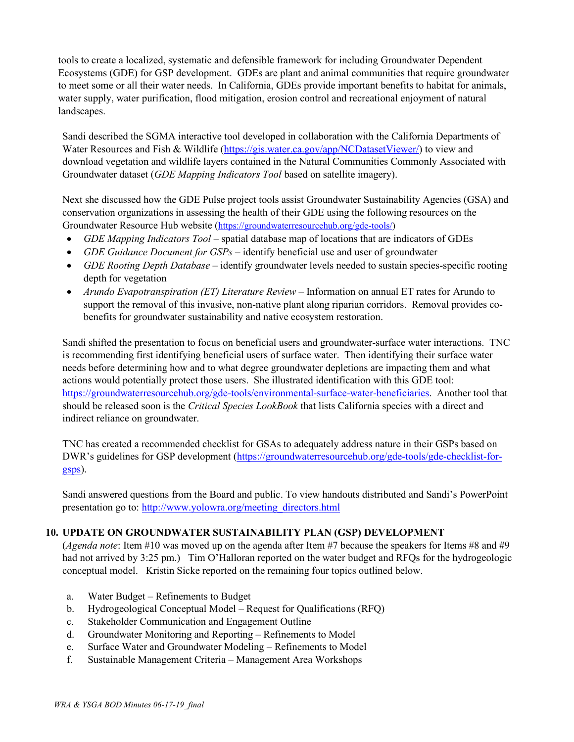tools to create a localized, systematic and defensible framework for including Groundwater Dependent Ecosystems (GDE) for GSP development. GDEs are plant and animal communities that require groundwater to meet some or all their water needs. In California, GDEs provide important benefits to habitat for animals, water supply, water purification, flood mitigation, erosion control and recreational enjoyment of natural landscapes.

Sandi described the SGMA interactive tool developed in collaboration with the California Departments of Water Resources and Fish & Wildlife [\(https://gis.water.ca.gov/app/NCDatasetViewer/\)](https://gis.water.ca.gov/app/NCDatasetViewer/) to view and download vegetation and wildlife layers contained in the Natural Communities Commonly Associated with Groundwater dataset (*GDE Mapping Indicators Tool* based on satellite imagery).

Next she discussed how the GDE Pulse project tools assist Groundwater Sustainability Agencies (GSA) and conservation organizations in assessing the health of their GDE using the following resources on the Groundwater Resource Hub website [\(https://groundwaterresourcehub.org/gde-tools/\)](https://groundwaterresourcehub.org/gde-tools/)

- *GDE Mapping Indicators Tool* spatial database map of locations that are indicators of GDEs
- *GDE Guidance Document for GSPs* identify beneficial use and user of groundwater
- *GDE Rooting Depth Database* identify groundwater levels needed to sustain species-specific rooting depth for vegetation
- *Arundo Evapotranspiration (ET) Literature Review* Information on annual ET rates for Arundo to support the removal of this invasive, non-native plant along riparian corridors. Removal provides cobenefits for groundwater sustainability and native ecosystem restoration.

Sandi shifted the presentation to focus on beneficial users and groundwater-surface water interactions. TNC is recommending first identifying beneficial users of surface water. Then identifying their surface water needs before determining how and to what degree groundwater depletions are impacting them and what actions would potentially protect those users. She illustrated identification with this GDE tool: [https://groundwaterresourcehub.org/gde-tools/environmental-surface-water-beneficiaries.](https://groundwaterresourcehub.org/gde-tools/environmental-surface-water-beneficiaries) Another tool that should be released soon is the *Critical Species LookBook* that lists California species with a direct and indirect reliance on groundwater.

TNC has created a recommended checklist for GSAs to adequately address nature in their GSPs based on DWR's guidelines for GSP development [\(https://groundwaterresourcehub.org/gde-tools/gde-checklist-for](https://groundwaterresourcehub.org/gde-tools/gde-checklist-for-gsps)[gsps\)](https://groundwaterresourcehub.org/gde-tools/gde-checklist-for-gsps).

Sandi answered questions from the Board and public. To view handouts distributed and Sandi's PowerPoint presentation go to: [http://www.yolowra.org/meeting\\_directors.html](http://www.yolowra.org/meeting_directors.html)

# **10. UPDATE ON GROUNDWATER SUSTAINABILITY PLAN (GSP) DEVELOPMENT**

(*Agenda note*: Item #10 was moved up on the agenda after Item #7 because the speakers for Items #8 and #9 had not arrived by 3:25 pm.) Tim O'Halloran reported on the water budget and RFQs for the hydrogeologic conceptual model. Kristin Sicke reported on the remaining four topics outlined below.

- a. Water Budget Refinements to Budget
- b. Hydrogeological Conceptual Model Request for Qualifications (RFQ)
- c. Stakeholder Communication and Engagement Outline
- d. Groundwater Monitoring and Reporting Refinements to Model
- e. Surface Water and Groundwater Modeling Refinements to Model
- f. Sustainable Management Criteria Management Area Workshops